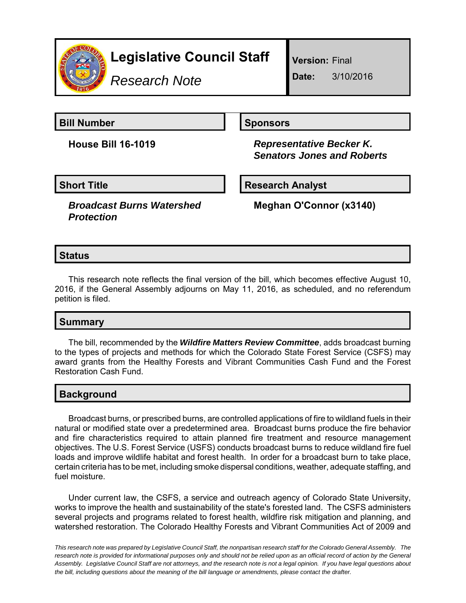

*Research Note*

**Version:** Final

**Date:** 3/10/2016

**Bill Number Sponsors** 

**House Bill 16-1019** *Representative Becker K. Senators Jones and Roberts*

**Short Title Community Community Community Research Analyst** 

*Broadcast Burns Watershed Protection*

**Meghan O'Connor (x3140)**

# **Status**

This research note reflects the final version of the bill, which becomes effective August 10, 2016, if the General Assembly adjourns on May 11, 2016, as scheduled, and no referendum petition is filed.

## **Summary**

The bill, recommended by the *Wildfire Matters Review Committee*, adds broadcast burning to the types of projects and methods for which the Colorado State Forest Service (CSFS) may award grants from the Healthy Forests and Vibrant Communities Cash Fund and the Forest Restoration Cash Fund.

### **Background**

Broadcast burns, or prescribed burns, are controlled applications of fire to wildland fuels in their natural or modified state over a predetermined area. Broadcast burns produce the fire behavior and fire characteristics required to attain planned fire treatment and resource management objectives. The U.S. Forest Service (USFS) conducts broadcast burns to reduce wildland fire fuel loads and improve wildlife habitat and forest health. In order for a broadcast burn to take place, certain criteria has to be met, including smoke dispersal conditions, weather, adequate staffing, and fuel moisture.

Under current law, the CSFS, a service and outreach agency of Colorado State University, works to improve the health and sustainability of the state's forested land. The CSFS administers several projects and programs related to forest health, wildfire risk mitigation and planning, and watershed restoration. The Colorado Healthy Forests and Vibrant Communities Act of 2009 and

*This research note was prepared by Legislative Council Staff, the nonpartisan research staff for the Colorado General Assembly. The research note is provided for informational purposes only and should not be relied upon as an official record of action by the General Assembly. Legislative Council Staff are not attorneys, and the research note is not a legal opinion. If you have legal questions about the bill, including questions about the meaning of the bill language or amendments, please contact the drafter.*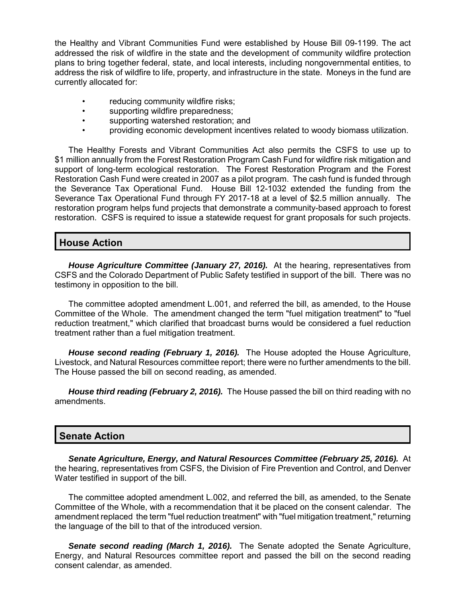the Healthy and Vibrant Communities Fund were established by House Bill 09-1199. The act addressed the risk of wildfire in the state and the development of community wildfire protection plans to bring together federal, state, and local interests, including nongovernmental entities, to address the risk of wildfire to life, property, and infrastructure in the state. Moneys in the fund are currently allocated for:

- reducing community wildfire risks;
- supporting wildfire preparedness;
- supporting watershed restoration; and
- providing economic development incentives related to woody biomass utilization.

The Healthy Forests and Vibrant Communities Act also permits the CSFS to use up to \$1 million annually from the Forest Restoration Program Cash Fund for wildfire risk mitigation and support of long-term ecological restoration. The Forest Restoration Program and the Forest Restoration Cash Fund were created in 2007 as a pilot program. The cash fund is funded through the Severance Tax Operational Fund. House Bill 12-1032 extended the funding from the Severance Tax Operational Fund through FY 2017-18 at a level of \$2.5 million annually. The restoration program helps fund projects that demonstrate a community-based approach to forest restoration. CSFS is required to issue a statewide request for grant proposals for such projects.

### **House Action**

*House Agriculture Committee (January 27, 2016).* At the hearing, representatives from CSFS and the Colorado Department of Public Safety testified in support of the bill. There was no testimony in opposition to the bill.

The committee adopted amendment L.001, and referred the bill, as amended, to the House Committee of the Whole. The amendment changed the term "fuel mitigation treatment" to "fuel reduction treatment," which clarified that broadcast burns would be considered a fuel reduction treatment rather than a fuel mitigation treatment.

*House second reading (February 1, 2016).* The House adopted the House Agriculture, Livestock, and Natural Resources committee report; there were no further amendments to the bill. The House passed the bill on second reading, as amended.

*House third reading (February 2, 2016).* The House passed the bill on third reading with no amendments.

#### **Senate Action**

*Senate Agriculture, Energy, and Natural Resources Committee (February 25, 2016).* At the hearing, representatives from CSFS, the Division of Fire Prevention and Control, and Denver Water testified in support of the bill.

The committee adopted amendment L.002, and referred the bill, as amended, to the Senate Committee of the Whole, with a recommendation that it be placed on the consent calendar. The amendment replaced the term "fuel reduction treatment" with "fuel mitigation treatment," returning the language of the bill to that of the introduced version.

**Senate second reading (March 1, 2016).** The Senate adopted the Senate Agriculture, Energy, and Natural Resources committee report and passed the bill on the second reading consent calendar, as amended.